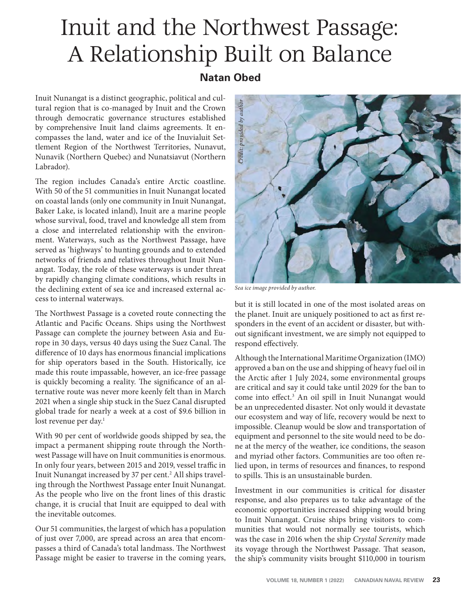# Inuit and the Northwest Passage: A Relationship Built on Balance

## **Natan Obed**

Inuit Nunangat is a distinct geographic, political and cultural region that is co-managed by Inuit and the Crown through democratic governance structures established by comprehensive Inuit land claims agreements. It encompasses the land, water and ice of the Inuvialuit Settlement Region of the Northwest Territories, Nunavut, Nunavik (Northern Quebec) and Nunatsiavut (Northern Labrador).

The region includes Canada's entire Arctic coastline. With 50 of the 51 communities in Inuit Nunangat located on coastal lands (only one community in Inuit Nunangat, Baker Lake, is located inland), Inuit are a marine people whose survival, food, travel and knowledge all stem from a close and interrelated relationship with the environment. Waterways, such as the Northwest Passage, have served as 'highways' to hunting grounds and to extended networks of friends and relatives throughout Inuit Nunangat. Today, the role of these waterways is under threat by rapidly changing climate conditions, which results in the declining extent of sea ice and increased external access to internal waterways.

The Northwest Passage is a coveted route connecting the Atlantic and Pacific Oceans. Ships using the Northwest Passage can complete the journey between Asia and Europe in 30 days, versus 40 days using the Suez Canal. The difference of 10 days has enormous financial implications for ship operators based in the South. Historically, ice made this route impassable, however, an ice-free passage is quickly becoming a reality. The significance of an alternative route was never more keenly felt than in March 2021 when a single ship stuck in the Suez Canal disrupted global trade for nearly a week at a cost of \$9.6 billion in lost revenue per day.<sup>1</sup>

With 90 per cent of worldwide goods shipped by sea, the impact a permanent shipping route through the Northwest Passage will have on Inuit communities is enormous. In only four years, between 2015 and 2019, vessel traffic in Inuit Nunangat increased by 37 per cent.<sup>2</sup> All ships traveling through the Northwest Passage enter Inuit Nunangat. As the people who live on the front lines of this drastic change, it is crucial that Inuit are equipped to deal with the inevitable outcomes.

Our 51 communities, the largest of which has a population of just over 7,000, are spread across an area that encompasses a third of Canada's total landmass. The Northwest Passage might be easier to traverse in the coming years,



but it is still located in one of the most isolated areas on the planet. Inuit are uniquely positioned to act as first responders in the event of an accident or disaster, but without significant investment, we are simply not equipped to respond effectively.

Although the International Maritime Organization (IMO) approved a ban on the use and shipping of heavy fuel oil in the Arctic after 1 July 2024, some environmental groups are critical and say it could take until 2029 for the ban to come into effect.<sup>3</sup> An oil spill in Inuit Nunangat would be an unprecedented disaster. Not only would it devastate our ecosystem and way of life, recovery would be next to impossible. Cleanup would be slow and transportation of equipment and personnel to the site would need to be done at the mercy of the weather, ice conditions, the season and myriad other factors. Communities are too often relied upon, in terms of resources and finances, to respond to spills. This is an unsustainable burden.

Investment in our communities is critical for disaster response, and also prepares us to take advantage of the economic opportunities increased shipping would bring to Inuit Nunangat. Cruise ships bring visitors to communities that would not normally see tourists, which was the case in 2016 when the ship *Crystal Serenity* made its voyage through the Northwest Passage. That season, the ship's community visits brought \$110,000 in tourism